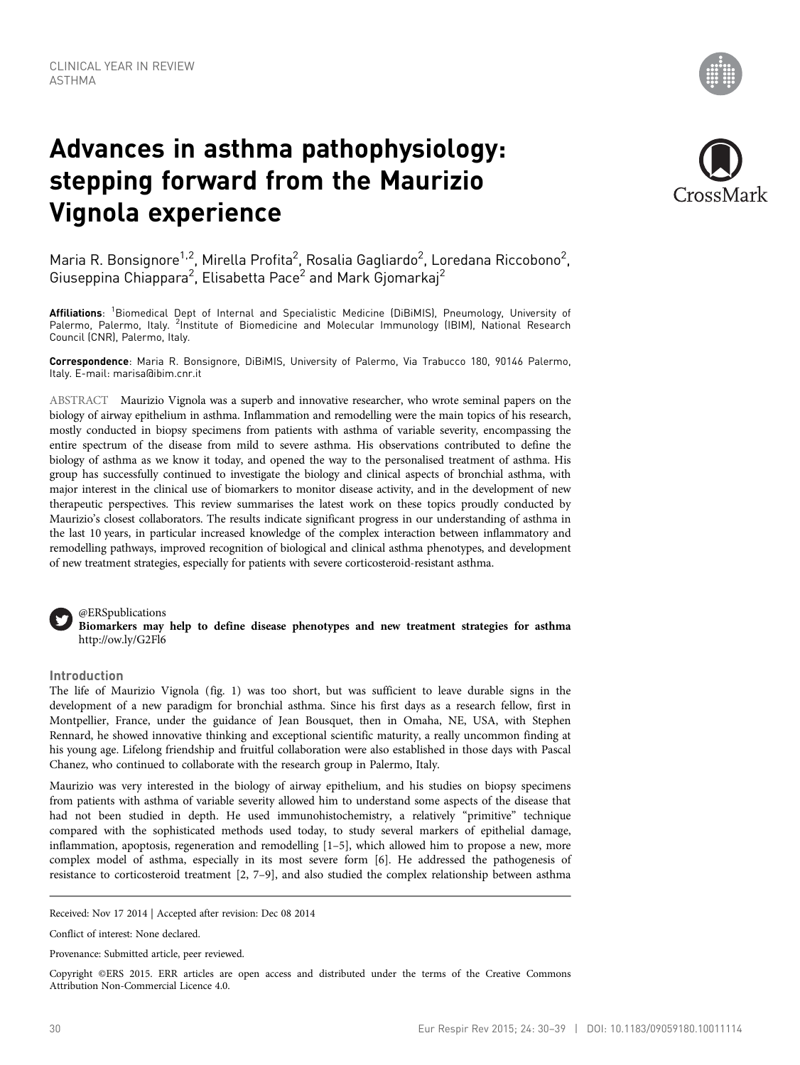# Advances in asthma pathophysiology: stepping forward from the Maurizio Vignola experience





Maria R. Bonsignore<sup>1,2</sup>, Mirella Profita<sup>2</sup>, Rosalia Gagliardo<sup>2</sup>, Loredana Riccobono<sup>2</sup>, Giuseppina Chiappara<sup>2</sup>, Elisabetta Pace<sup>2</sup> and Mark Gjomarkaj<sup>2</sup>

**Affiliations**: <sup>1</sup>Biomedical Dept of Internal and Specialistic Medicine (DiBiMIS), Pneumology, University of Palermo, Palermo, Italy. <sup>2</sup>Institute of Biomedicine and Molecular Immunology (IBIM), National Research Council (CNR), Palermo, Italy.

Correspondence: Maria R. Bonsignore, DiBiMIS, University of Palermo, Via Trabucco 180, 90146 Palermo, Italy. E-mail: [marisa@ibim.cnr.it](mailto:marisa@ibim.cnr.it)

ABSTRACT Maurizio Vignola was a superb and innovative researcher, who wrote seminal papers on the biology of airway epithelium in asthma. Inflammation and remodelling were the main topics of his research, mostly conducted in biopsy specimens from patients with asthma of variable severity, encompassing the entire spectrum of the disease from mild to severe asthma. His observations contributed to define the biology of asthma as we know it today, and opened the way to the personalised treatment of asthma. His group has successfully continued to investigate the biology and clinical aspects of bronchial asthma, with major interest in the clinical use of biomarkers to monitor disease activity, and in the development of new therapeutic perspectives. This review summarises the latest work on these topics proudly conducted by Maurizio's closest collaborators. The results indicate significant progress in our understanding of asthma in the last 10 years, in particular increased knowledge of the complex interaction between inflammatory and remodelling pathways, improved recognition of biological and clinical asthma phenotypes, and development of new treatment strategies, especially for patients with severe corticosteroid-resistant asthma.

## @ERSpublications

Biomarkers may help to define disease phenotypes and new treatment strategies for asthma <http://ow.ly/G2Fl6>

## Introduction

The life of Maurizio Vignola ([fig. 1](#page-1-0)) was too short, but was sufficient to leave durable signs in the development of a new paradigm for bronchial asthma. Since his first days as a research fellow, first in Montpellier, France, under the guidance of Jean Bousquet, then in Omaha, NE, USA, with Stephen Rennard, he showed innovative thinking and exceptional scientific maturity, a really uncommon finding at his young age. Lifelong friendship and fruitful collaboration were also established in those days with Pascal Chanez, who continued to collaborate with the research group in Palermo, Italy.

Maurizio was very interested in the biology of airway epithelium, and his studies on biopsy specimens from patients with asthma of variable severity allowed him to understand some aspects of the disease that had not been studied in depth. He used immunohistochemistry, a relatively "primitive" technique compared with the sophisticated methods used today, to study several markers of epithelial damage, inflammation, apoptosis, regeneration and remodelling [[1](#page-7-0)–[5\]](#page-7-0), which allowed him to propose a new, more complex model of asthma, especially in its most severe form [[6](#page-7-0)]. He addressed the pathogenesis of resistance to corticosteroid treatment [[2](#page-7-0), [7](#page-7-0)–[9\]](#page-7-0), and also studied the complex relationship between asthma

Copyright ©ERS 2015. ERR articles are open access and distributed under the terms of the Creative Commons Attribution Non-Commercial Licence 4.0.

Received: Nov 17 2014 | Accepted after revision: Dec 08 2014

Conflict of interest: None declared.

Provenance: Submitted article, peer reviewed.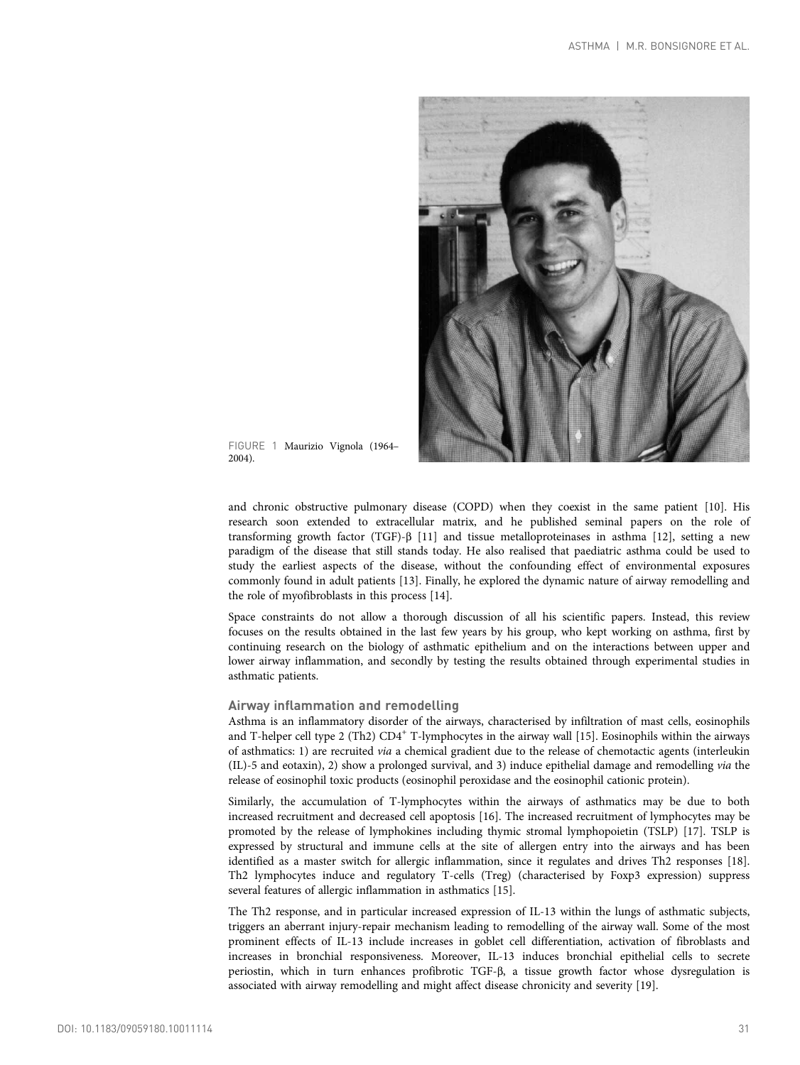<span id="page-1-0"></span>

FIGURE 1 Maurizio Vignola (1964– 2004).

and chronic obstructive pulmonary disease (COPD) when they coexist in the same patient [[10](#page-7-0)]. His research soon extended to extracellular matrix, and he published seminal papers on the role of transforming growth factor (TGF)-β [\[11\]](#page-7-0) and tissue metalloproteinases in asthma [\[12\]](#page-7-0), setting a new paradigm of the disease that still stands today. He also realised that paediatric asthma could be used to study the earliest aspects of the disease, without the confounding effect of environmental exposures commonly found in adult patients [\[13\]](#page-7-0). Finally, he explored the dynamic nature of airway remodelling and the role of myofibroblasts in this process [\[14\]](#page-7-0).

Space constraints do not allow a thorough discussion of all his scientific papers. Instead, this review focuses on the results obtained in the last few years by his group, who kept working on asthma, first by continuing research on the biology of asthmatic epithelium and on the interactions between upper and lower airway inflammation, and secondly by testing the results obtained through experimental studies in asthmatic patients.

#### Airway inflammation and remodelling

Asthma is an inflammatory disorder of the airways, characterised by infiltration of mast cells, eosinophils and T-helper cell type 2 (Th2) CD4<sup>+</sup> T-lymphocytes in the airway wall [[15](#page-7-0)]. Eosinophils within the airways of asthmatics: 1) are recruited via a chemical gradient due to the release of chemotactic agents (interleukin (IL)-5 and eotaxin), 2) show a prolonged survival, and 3) induce epithelial damage and remodelling via the release of eosinophil toxic products (eosinophil peroxidase and the eosinophil cationic protein).

Similarly, the accumulation of T-lymphocytes within the airways of asthmatics may be due to both increased recruitment and decreased cell apoptosis [[16](#page-7-0)]. The increased recruitment of lymphocytes may be promoted by the release of lymphokines including thymic stromal lymphopoietin (TSLP) [[17](#page-7-0)]. TSLP is expressed by structural and immune cells at the site of allergen entry into the airways and has been identified as a master switch for allergic inflammation, since it regulates and drives Th2 responses [[18](#page-8-0)]. Th2 lymphocytes induce and regulatory T-cells (Treg) (characterised by Foxp3 expression) suppress several features of allergic inflammation in asthmatics [\[15\]](#page-7-0).

The Th2 response, and in particular increased expression of IL-13 within the lungs of asthmatic subjects, triggers an aberrant injury-repair mechanism leading to remodelling of the airway wall. Some of the most prominent effects of IL-13 include increases in goblet cell differentiation, activation of fibroblasts and increases in bronchial responsiveness. Moreover, IL-13 induces bronchial epithelial cells to secrete periostin, which in turn enhances profibrotic TGF-β, a tissue growth factor whose dysregulation is associated with airway remodelling and might affect disease chronicity and severity [[19](#page-8-0)].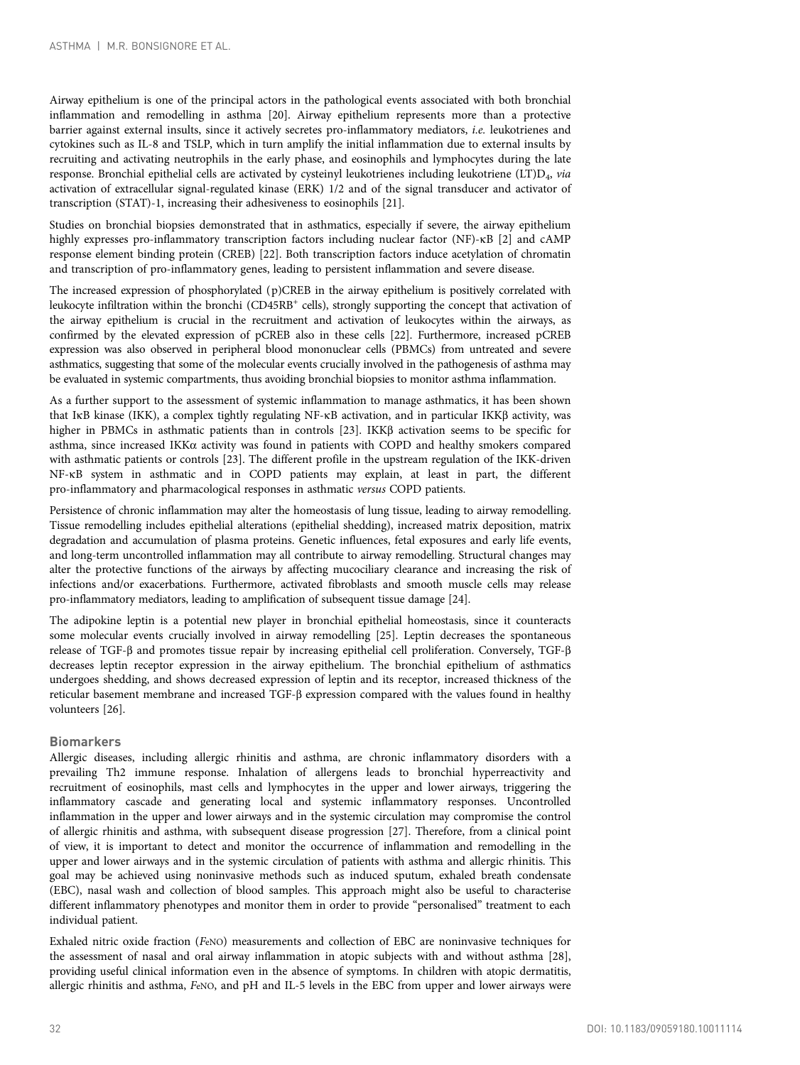Airway epithelium is one of the principal actors in the pathological events associated with both bronchial inflammation and remodelling in asthma [[20](#page-8-0)]. Airway epithelium represents more than a protective barrier against external insults, since it actively secretes pro-inflammatory mediators, i.e. leukotrienes and cytokines such as IL-8 and TSLP, which in turn amplify the initial inflammation due to external insults by recruiting and activating neutrophils in the early phase, and eosinophils and lymphocytes during the late response. Bronchial epithelial cells are activated by cysteinyl leukotrienes including leukotriene (LT)D<sub>4</sub>, via activation of extracellular signal-regulated kinase (ERK) 1/2 and of the signal transducer and activator of transcription (STAT)-1, increasing their adhesiveness to eosinophils [[21](#page-8-0)].

Studies on bronchial biopsies demonstrated that in asthmatics, especially if severe, the airway epithelium highly expresses pro-inflammatory transcription factors including nuclear factor (NF)-κB [\[2](#page-7-0)] and cAMP response element binding protein (CREB) [\[22\]](#page-8-0). Both transcription factors induce acetylation of chromatin and transcription of pro-inflammatory genes, leading to persistent inflammation and severe disease.

The increased expression of phosphorylated (p)CREB in the airway epithelium is positively correlated with leukocyte infiltration within the bronchi (CD45RB<sup>+</sup> cells), strongly supporting the concept that activation of the airway epithelium is crucial in the recruitment and activation of leukocytes within the airways, as confirmed by the elevated expression of pCREB also in these cells [[22](#page-8-0)]. Furthermore, increased pCREB expression was also observed in peripheral blood mononuclear cells (PBMCs) from untreated and severe asthmatics, suggesting that some of the molecular events crucially involved in the pathogenesis of asthma may be evaluated in systemic compartments, thus avoiding bronchial biopsies to monitor asthma inflammation.

As a further support to the assessment of systemic inflammation to manage asthmatics, it has been shown that IκB kinase (IKK), a complex tightly regulating NF-κB activation, and in particular IKKβ activity, was higher in PBMCs in asthmatic patients than in controls [[23](#page-8-0)]. IKKβ activation seems to be specific for asthma, since increased IKKα activity was found in patients with COPD and healthy smokers compared with asthmatic patients or controls [[23](#page-8-0)]. The different profile in the upstream regulation of the IKK-driven NF-κB system in asthmatic and in COPD patients may explain, at least in part, the different pro-inflammatory and pharmacological responses in asthmatic versus COPD patients.

Persistence of chronic inflammation may alter the homeostasis of lung tissue, leading to airway remodelling. Tissue remodelling includes epithelial alterations (epithelial shedding), increased matrix deposition, matrix degradation and accumulation of plasma proteins. Genetic influences, fetal exposures and early life events, and long-term uncontrolled inflammation may all contribute to airway remodelling. Structural changes may alter the protective functions of the airways by affecting mucociliary clearance and increasing the risk of infections and/or exacerbations. Furthermore, activated fibroblasts and smooth muscle cells may release pro-inflammatory mediators, leading to amplification of subsequent tissue damage [[24](#page-8-0)].

The adipokine leptin is a potential new player in bronchial epithelial homeostasis, since it counteracts some molecular events crucially involved in airway remodelling [[25\]](#page-8-0). Leptin decreases the spontaneous release of TGF-β and promotes tissue repair by increasing epithelial cell proliferation. Conversely, TGF-β decreases leptin receptor expression in the airway epithelium. The bronchial epithelium of asthmatics undergoes shedding, and shows decreased expression of leptin and its receptor, increased thickness of the reticular basement membrane and increased TGF-β expression compared with the values found in healthy volunteers [[26](#page-8-0)].

#### **Biomarkers**

Allergic diseases, including allergic rhinitis and asthma, are chronic inflammatory disorders with a prevailing Th2 immune response. Inhalation of allergens leads to bronchial hyperreactivity and recruitment of eosinophils, mast cells and lymphocytes in the upper and lower airways, triggering the inflammatory cascade and generating local and systemic inflammatory responses. Uncontrolled inflammation in the upper and lower airways and in the systemic circulation may compromise the control of allergic rhinitis and asthma, with subsequent disease progression [\[27\]](#page-8-0). Therefore, from a clinical point of view, it is important to detect and monitor the occurrence of inflammation and remodelling in the upper and lower airways and in the systemic circulation of patients with asthma and allergic rhinitis. This goal may be achieved using noninvasive methods such as induced sputum, exhaled breath condensate (EBC), nasal wash and collection of blood samples. This approach might also be useful to characterise different inflammatory phenotypes and monitor them in order to provide "personalised" treatment to each individual patient.

Exhaled nitric oxide fraction (FeNO) measurements and collection of EBC are noninvasive techniques for the assessment of nasal and oral airway inflammation in atopic subjects with and without asthma [[28](#page-8-0)], providing useful clinical information even in the absence of symptoms. In children with atopic dermatitis, allergic rhinitis and asthma, FeNO, and pH and IL-5 levels in the EBC from upper and lower airways were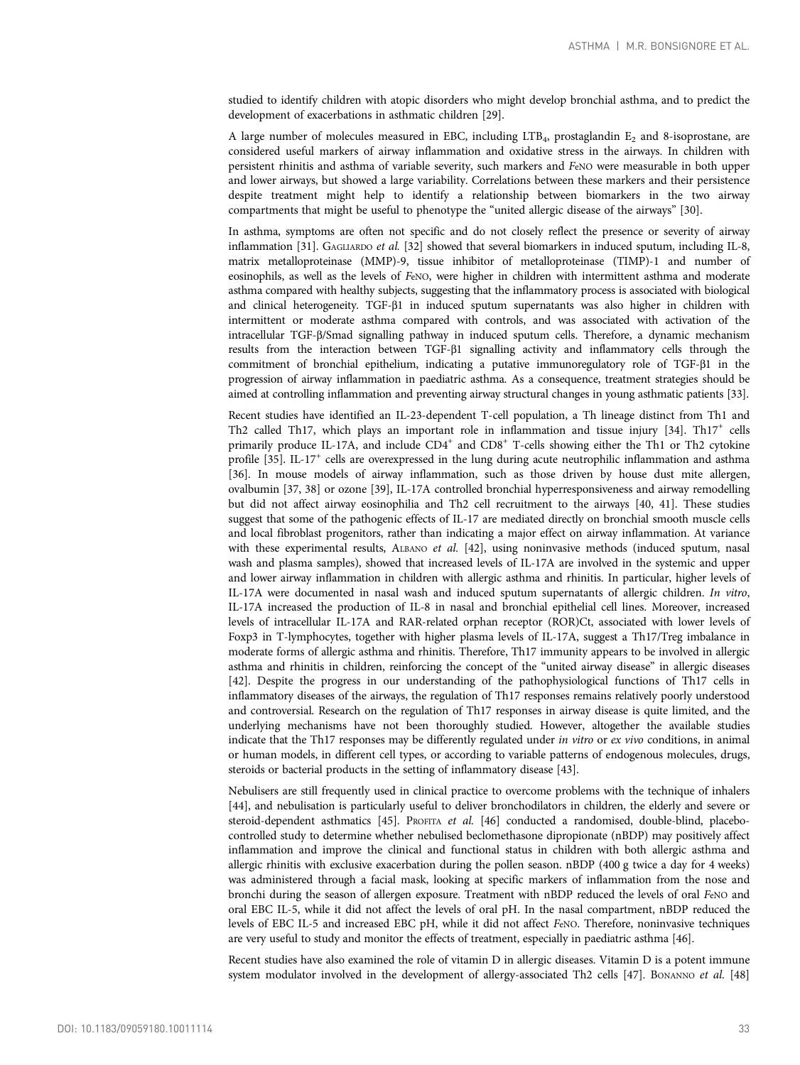studied to identify children with atopic disorders who might develop bronchial asthma, and to predict the development of exacerbations in asthmatic children [[29\]](#page-8-0).

A large number of molecules measured in EBC, including  $LTB<sub>4</sub>$ , prostaglandin E<sub>2</sub> and 8-isoprostane, are considered useful markers of airway inflammation and oxidative stress in the airways. In children with persistent rhinitis and asthma of variable severity, such markers and FeNO were measurable in both upper and lower airways, but showed a large variability. Correlations between these markers and their persistence despite treatment might help to identify a relationship between biomarkers in the two airway compartments that might be useful to phenotype the "united allergic disease of the airways" [\[30](#page-8-0)].

In asthma, symptoms are often not specific and do not closely reflect the presence or severity of airway inflammation [[31](#page-8-0)]. GAGLIARDO et al. [[32](#page-8-0)] showed that several biomarkers in induced sputum, including IL-8, matrix metalloproteinase (MMP)-9, tissue inhibitor of metalloproteinase (TIMP)-1 and number of eosinophils, as well as the levels of FeNO, were higher in children with intermittent asthma and moderate asthma compared with healthy subjects, suggesting that the inflammatory process is associated with biological and clinical heterogeneity. TGF-β1 in induced sputum supernatants was also higher in children with intermittent or moderate asthma compared with controls, and was associated with activation of the intracellular TGF-β/Smad signalling pathway in induced sputum cells. Therefore, a dynamic mechanism results from the interaction between TGF-β1 signalling activity and inflammatory cells through the commitment of bronchial epithelium, indicating a putative immunoregulatory role of TGF-β1 in the progression of airway inflammation in paediatric asthma. As a consequence, treatment strategies should be aimed at controlling inflammation and preventing airway structural changes in young asthmatic patients [\[33\]](#page-8-0).

Recent studies have identified an IL-23-dependent T-cell population, a Th lineage distinct from Th1 and Th2 called Th17, which plays an important role in inflammation and tissue injury [[34](#page-8-0)]. Th17<sup>+</sup> cells primarily produce IL-17A, and include CD4<sup>+</sup> and CD8<sup>+</sup> T-cells showing either the Th1 or Th2 cytokine profile [\[35\]](#page-8-0). IL-17+ cells are overexpressed in the lung during acute neutrophilic inflammation and asthma [\[36\]](#page-8-0). In mouse models of airway inflammation, such as those driven by house dust mite allergen, ovalbumin [[37](#page-8-0), [38\]](#page-8-0) or ozone [[39](#page-8-0)], IL-17A controlled bronchial hyperresponsiveness and airway remodelling but did not affect airway eosinophilia and Th2 cell recruitment to the airways [\[40, 41\]](#page-8-0). These studies suggest that some of the pathogenic effects of IL-17 are mediated directly on bronchial smooth muscle cells and local fibroblast progenitors, rather than indicating a major effect on airway inflammation. At variance with these experimental results, ALBANO et al. [[42](#page-8-0)], using noninvasive methods (induced sputum, nasal wash and plasma samples), showed that increased levels of IL-17A are involved in the systemic and upper and lower airway inflammation in children with allergic asthma and rhinitis. In particular, higher levels of IL-17A were documented in nasal wash and induced sputum supernatants of allergic children. In vitro, IL-17A increased the production of IL-8 in nasal and bronchial epithelial cell lines. Moreover, increased levels of intracellular IL-17A and RAR-related orphan receptor (ROR)Ct, associated with lower levels of Foxp3 in T-lymphocytes, together with higher plasma levels of IL-17A, suggest a Th17/Treg imbalance in moderate forms of allergic asthma and rhinitis. Therefore, Th17 immunity appears to be involved in allergic asthma and rhinitis in children, reinforcing the concept of the "united airway disease" in allergic diseases [\[42\]](#page-8-0). Despite the progress in our understanding of the pathophysiological functions of Th17 cells in inflammatory diseases of the airways, the regulation of Th17 responses remains relatively poorly understood and controversial. Research on the regulation of Th17 responses in airway disease is quite limited, and the underlying mechanisms have not been thoroughly studied. However, altogether the available studies indicate that the Th17 responses may be differently regulated under in vitro or ex vivo conditions, in animal or human models, in different cell types, or according to variable patterns of endogenous molecules, drugs, steroids or bacterial products in the setting of inflammatory disease [[43](#page-8-0)].

Nebulisers are still frequently used in clinical practice to overcome problems with the technique of inhalers [\[44\]](#page-8-0), and nebulisation is particularly useful to deliver bronchodilators in children, the elderly and severe or steroid-dependent asthmatics [\[45\]](#page-8-0). PROFITA et al. [[46](#page-8-0)] conducted a randomised, double-blind, placebocontrolled study to determine whether nebulised beclomethasone dipropionate (nBDP) may positively affect inflammation and improve the clinical and functional status in children with both allergic asthma and allergic rhinitis with exclusive exacerbation during the pollen season. nBDP (400 g twice a day for 4 weeks) was administered through a facial mask, looking at specific markers of inflammation from the nose and bronchi during the season of allergen exposure. Treatment with nBDP reduced the levels of oral FeNO and oral EBC IL-5, while it did not affect the levels of oral pH. In the nasal compartment, nBDP reduced the levels of EBC IL-5 and increased EBC pH, while it did not affect FeNO. Therefore, noninvasive techniques are very useful to study and monitor the effects of treatment, especially in paediatric asthma [[46](#page-8-0)].

Recent studies have also examined the role of vitamin D in allergic diseases. Vitamin D is a potent immune system modulator involved in the development of allergy-associated Th2 cells [\[47\]](#page-8-0). BONANNO et al. [[48](#page-8-0)]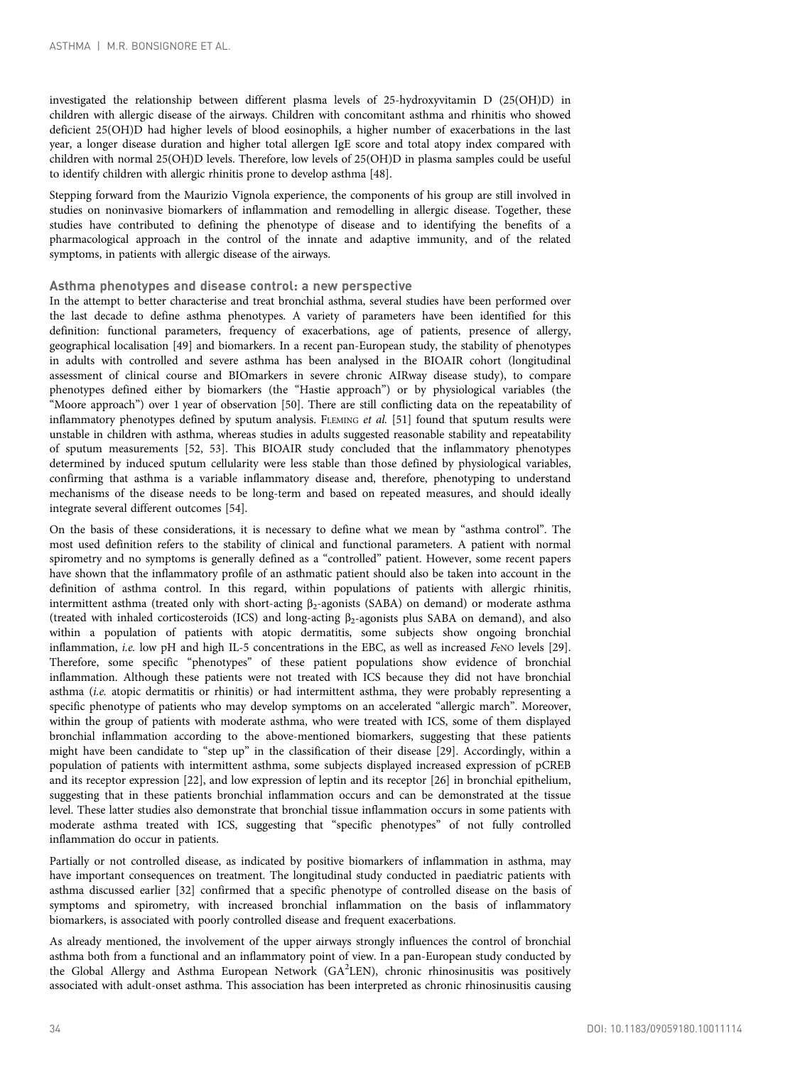investigated the relationship between different plasma levels of 25-hydroxyvitamin D (25(OH)D) in children with allergic disease of the airways. Children with concomitant asthma and rhinitis who showed deficient 25(OH)D had higher levels of blood eosinophils, a higher number of exacerbations in the last year, a longer disease duration and higher total allergen IgE score and total atopy index compared with children with normal 25(OH)D levels. Therefore, low levels of 25(OH)D in plasma samples could be useful to identify children with allergic rhinitis prone to develop asthma [\[48\]](#page-8-0).

Stepping forward from the Maurizio Vignola experience, the components of his group are still involved in studies on noninvasive biomarkers of inflammation and remodelling in allergic disease. Together, these studies have contributed to defining the phenotype of disease and to identifying the benefits of a pharmacological approach in the control of the innate and adaptive immunity, and of the related symptoms, in patients with allergic disease of the airways.

## Asthma phenotypes and disease control: a new perspective

In the attempt to better characterise and treat bronchial asthma, several studies have been performed over the last decade to define asthma phenotypes. A variety of parameters have been identified for this definition: functional parameters, frequency of exacerbations, age of patients, presence of allergy, geographical localisation [[49](#page-8-0)] and biomarkers. In a recent pan-European study, the stability of phenotypes in adults with controlled and severe asthma has been analysed in the BIOAIR cohort (longitudinal assessment of clinical course and BIOmarkers in severe chronic AIRway disease study), to compare phenotypes defined either by biomarkers (the "Hastie approach") or by physiological variables (the "Moore approach") over 1 year of observation [\[50](#page-8-0)]. There are still conflicting data on the repeatability of inflammatory phenotypes defined by sputum analysis. FLEMING et al. [[51\]](#page-8-0) found that sputum results were unstable in children with asthma, whereas studies in adults suggested reasonable stability and repeatability of sputum measurements [[52](#page-8-0), [53\]](#page-8-0). This BIOAIR study concluded that the inflammatory phenotypes determined by induced sputum cellularity were less stable than those defined by physiological variables, confirming that asthma is a variable inflammatory disease and, therefore, phenotyping to understand mechanisms of the disease needs to be long-term and based on repeated measures, and should ideally integrate several different outcomes [[54](#page-8-0)].

On the basis of these considerations, it is necessary to define what we mean by "asthma control". The most used definition refers to the stability of clinical and functional parameters. A patient with normal spirometry and no symptoms is generally defined as a "controlled" patient. However, some recent papers have shown that the inflammatory profile of an asthmatic patient should also be taken into account in the definition of asthma control. In this regard, within populations of patients with allergic rhinitis, intermittent asthma (treated only with short-acting  $\beta_2$ -agonists (SABA) on demand) or moderate asthma (treated with inhaled corticosteroids (ICS) and long-acting  $\beta_2$ -agonists plus SABA on demand), and also within a population of patients with atopic dermatitis, some subjects show ongoing bronchial inflammation, i.e. low pH and high IL-5 concentrations in the EBC, as well as increased FeNO levels [\[29](#page-8-0)]. Therefore, some specific "phenotypes" of these patient populations show evidence of bronchial inflammation. Although these patients were not treated with ICS because they did not have bronchial asthma (i.e. atopic dermatitis or rhinitis) or had intermittent asthma, they were probably representing a specific phenotype of patients who may develop symptoms on an accelerated "allergic march". Moreover, within the group of patients with moderate asthma, who were treated with ICS, some of them displayed bronchial inflammation according to the above-mentioned biomarkers, suggesting that these patients might have been candidate to "step up" in the classification of their disease [[29](#page-8-0)]. Accordingly, within a population of patients with intermittent asthma, some subjects displayed increased expression of pCREB and its receptor expression [[22](#page-8-0)], and low expression of leptin and its receptor [\[26](#page-8-0)] in bronchial epithelium, suggesting that in these patients bronchial inflammation occurs and can be demonstrated at the tissue level. These latter studies also demonstrate that bronchial tissue inflammation occurs in some patients with moderate asthma treated with ICS, suggesting that "specific phenotypes" of not fully controlled inflammation do occur in patients.

Partially or not controlled disease, as indicated by positive biomarkers of inflammation in asthma, may have important consequences on treatment. The longitudinal study conducted in paediatric patients with asthma discussed earlier [[32](#page-8-0)] confirmed that a specific phenotype of controlled disease on the basis of symptoms and spirometry, with increased bronchial inflammation on the basis of inflammatory biomarkers, is associated with poorly controlled disease and frequent exacerbations.

As already mentioned, the involvement of the upper airways strongly influences the control of bronchial asthma both from a functional and an inflammatory point of view. In a pan-European study conducted by the Global Allergy and Asthma European Network (GA<sup>2</sup>LEN), chronic rhinosinusitis was positively associated with adult-onset asthma. This association has been interpreted as chronic rhinosinusitis causing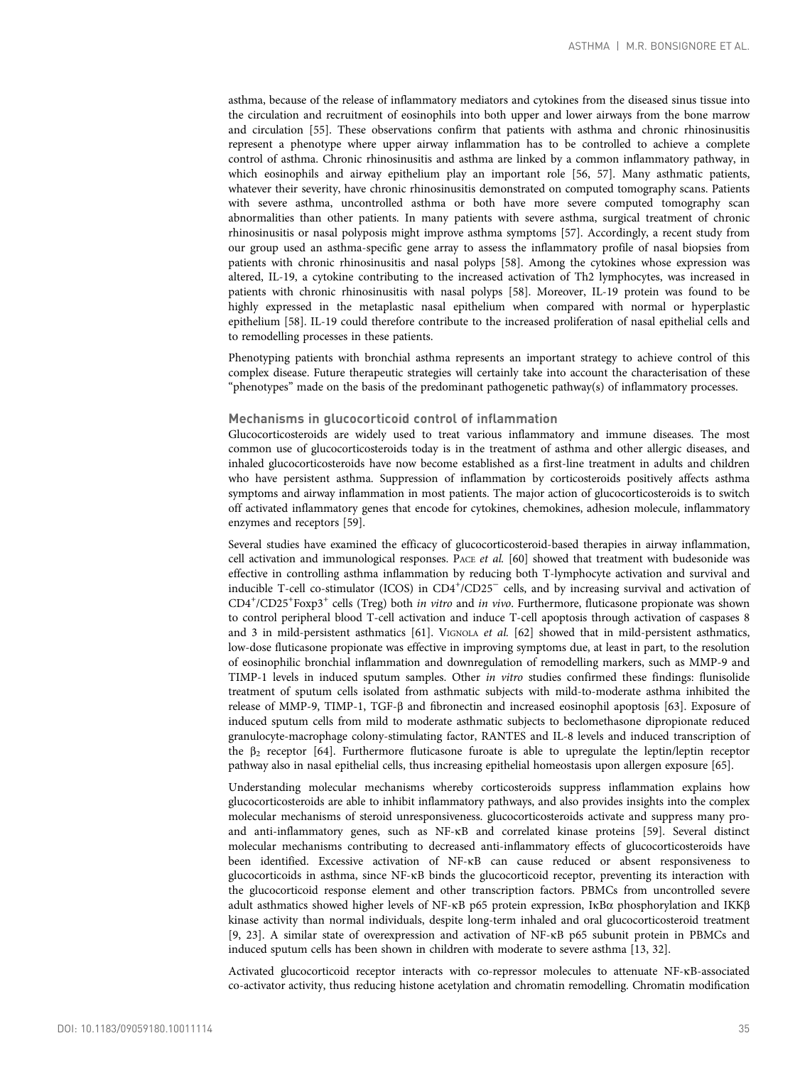asthma, because of the release of inflammatory mediators and cytokines from the diseased sinus tissue into the circulation and recruitment of eosinophils into both upper and lower airways from the bone marrow and circulation [\[55\]](#page-8-0). These observations confirm that patients with asthma and chronic rhinosinusitis represent a phenotype where upper airway inflammation has to be controlled to achieve a complete control of asthma. Chronic rhinosinusitis and asthma are linked by a common inflammatory pathway, in which eosinophils and airway epithelium play an important role [\[56, 57](#page-9-0)]. Many asthmatic patients, whatever their severity, have chronic rhinosinusitis demonstrated on computed tomography scans. Patients with severe asthma, uncontrolled asthma or both have more severe computed tomography scan abnormalities than other patients. In many patients with severe asthma, surgical treatment of chronic rhinosinusitis or nasal polyposis might improve asthma symptoms [[57](#page-9-0)]. Accordingly, a recent study from our group used an asthma-specific gene array to assess the inflammatory profile of nasal biopsies from patients with chronic rhinosinusitis and nasal polyps [\[58\]](#page-9-0). Among the cytokines whose expression was altered, IL-19, a cytokine contributing to the increased activation of Th2 lymphocytes, was increased in patients with chronic rhinosinusitis with nasal polyps [[58](#page-9-0)]. Moreover, IL-19 protein was found to be highly expressed in the metaplastic nasal epithelium when compared with normal or hyperplastic epithelium [[58](#page-9-0)]. IL-19 could therefore contribute to the increased proliferation of nasal epithelial cells and to remodelling processes in these patients.

Phenotyping patients with bronchial asthma represents an important strategy to achieve control of this complex disease. Future therapeutic strategies will certainly take into account the characterisation of these "phenotypes" made on the basis of the predominant pathogenetic pathway(s) of inflammatory processes.

#### Mechanisms in glucocorticoid control of inflammation

Glucocorticosteroids are widely used to treat various inflammatory and immune diseases. The most common use of glucocorticosteroids today is in the treatment of asthma and other allergic diseases, and inhaled glucocorticosteroids have now become established as a first-line treatment in adults and children who have persistent asthma. Suppression of inflammation by corticosteroids positively affects asthma symptoms and airway inflammation in most patients. The major action of glucocorticosteroids is to switch off activated inflammatory genes that encode for cytokines, chemokines, adhesion molecule, inflammatory enzymes and receptors [\[59\]](#page-9-0).

Several studies have examined the efficacy of glucocorticosteroid-based therapies in airway inflammation, cell activation and immunological responses. PACE et al. [[60](#page-9-0)] showed that treatment with budesonide was effective in controlling asthma inflammation by reducing both T-lymphocyte activation and survival and inducible T-cell co-stimulator (ICOS) in CD4<sup>+</sup>/CD25<sup>-</sup> cells, and by increasing survival and activation of CD4<sup>+</sup>/CD25<sup>+</sup>Foxp3<sup>+</sup> cells (Treg) both in vitro and in vivo. Furthermore, fluticasone propionate was shown to control peripheral blood T-cell activation and induce T-cell apoptosis through activation of caspases 8 and 3 in mild-persistent asthmatics [\[61\]](#page-9-0). VIGNOLA et al. [[62\]](#page-9-0) showed that in mild-persistent asthmatics, low-dose fluticasone propionate was effective in improving symptoms due, at least in part, to the resolution of eosinophilic bronchial inflammation and downregulation of remodelling markers, such as MMP-9 and TIMP-1 levels in induced sputum samples. Other in vitro studies confirmed these findings: flunisolide treatment of sputum cells isolated from asthmatic subjects with mild-to-moderate asthma inhibited the release of MMP-9, TIMP-1, TGF-β and fibronectin and increased eosinophil apoptosis [[63](#page-9-0)]. Exposure of induced sputum cells from mild to moderate asthmatic subjects to beclomethasone dipropionate reduced granulocyte-macrophage colony-stimulating factor, RANTES and IL-8 levels and induced transcription of the  $\beta_2$  receptor [\[64](#page-9-0)]. Furthermore fluticasone furoate is able to upregulate the leptin/leptin receptor pathway also in nasal epithelial cells, thus increasing epithelial homeostasis upon allergen exposure [[65](#page-9-0)].

Understanding molecular mechanisms whereby corticosteroids suppress inflammation explains how glucocorticosteroids are able to inhibit inflammatory pathways, and also provides insights into the complex molecular mechanisms of steroid unresponsiveness. glucocorticosteroids activate and suppress many proand anti-inflammatory genes, such as NF-κB and correlated kinase proteins [[59](#page-9-0)]. Several distinct molecular mechanisms contributing to decreased anti-inflammatory effects of glucocorticosteroids have been identified. Excessive activation of NF-κB can cause reduced or absent responsiveness to glucocorticoids in asthma, since NF-κB binds the glucocorticoid receptor, preventing its interaction with the glucocorticoid response element and other transcription factors. PBMCs from uncontrolled severe adult asthmatics showed higher levels of NF-κB p65 protein expression, IκBα phosphorylation and IKKβ kinase activity than normal individuals, despite long-term inhaled and oral glucocorticosteroid treatment [\[9,](#page-7-0) [23](#page-8-0)]. A similar state of overexpression and activation of NF-κB p65 subunit protein in PBMCs and induced sputum cells has been shown in children with moderate to severe asthma [\[13](#page-7-0), [32](#page-8-0)].

Activated glucocorticoid receptor interacts with co-repressor molecules to attenuate NF-κB-associated co-activator activity, thus reducing histone acetylation and chromatin remodelling. Chromatin modification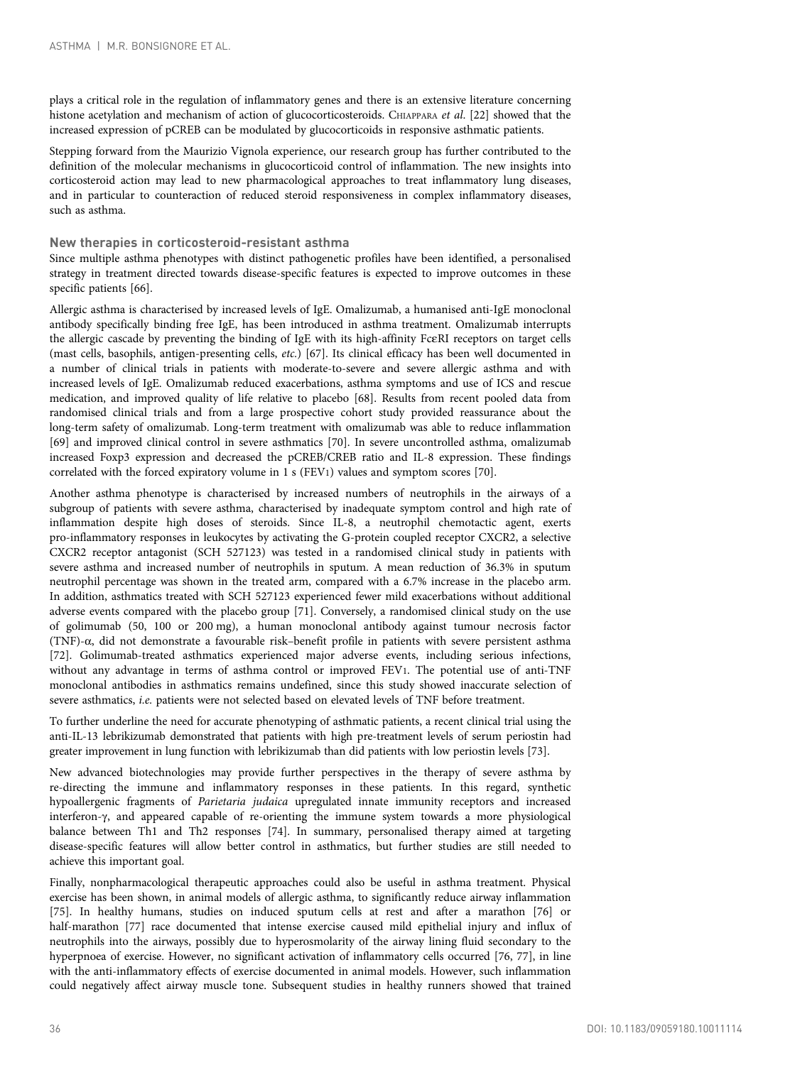plays a critical role in the regulation of inflammatory genes and there is an extensive literature concerning histone acetylation and mechanism of action of glucocorticosteroids. CHIAPPARA et al. [[22](#page-8-0)] showed that the increased expression of pCREB can be modulated by glucocorticoids in responsive asthmatic patients.

Stepping forward from the Maurizio Vignola experience, our research group has further contributed to the definition of the molecular mechanisms in glucocorticoid control of inflammation. The new insights into corticosteroid action may lead to new pharmacological approaches to treat inflammatory lung diseases, and in particular to counteraction of reduced steroid responsiveness in complex inflammatory diseases, such as asthma.

#### New therapies in corticosteroid-resistant asthma

Since multiple asthma phenotypes with distinct pathogenetic profiles have been identified, a personalised strategy in treatment directed towards disease-specific features is expected to improve outcomes in these specific patients [[66\]](#page-9-0).

Allergic asthma is characterised by increased levels of IgE. Omalizumab, a humanised anti-IgE monoclonal antibody specifically binding free IgE, has been introduced in asthma treatment. Omalizumab interrupts the allergic cascade by preventing the binding of IgE with its high-affinity FcεRI receptors on target cells (mast cells, basophils, antigen-presenting cells, etc.) [[67](#page-9-0)]. Its clinical efficacy has been well documented in a number of clinical trials in patients with moderate-to-severe and severe allergic asthma and with increased levels of IgE. Omalizumab reduced exacerbations, asthma symptoms and use of ICS and rescue medication, and improved quality of life relative to placebo [[68](#page-9-0)]. Results from recent pooled data from randomised clinical trials and from a large prospective cohort study provided reassurance about the long-term safety of omalizumab. Long-term treatment with omalizumab was able to reduce inflammation [[69\]](#page-9-0) and improved clinical control in severe asthmatics [[70\]](#page-9-0). In severe uncontrolled asthma, omalizumab increased Foxp3 expression and decreased the pCREB/CREB ratio and IL-8 expression. These findings correlated with the forced expiratory volume in 1 s (FEV1) values and symptom scores [\[70\]](#page-9-0).

Another asthma phenotype is characterised by increased numbers of neutrophils in the airways of a subgroup of patients with severe asthma, characterised by inadequate symptom control and high rate of inflammation despite high doses of steroids. Since IL-8, a neutrophil chemotactic agent, exerts pro-inflammatory responses in leukocytes by activating the G-protein coupled receptor CXCR2, a selective CXCR2 receptor antagonist (SCH 527123) was tested in a randomised clinical study in patients with severe asthma and increased number of neutrophils in sputum. A mean reduction of 36.3% in sputum neutrophil percentage was shown in the treated arm, compared with a 6.7% increase in the placebo arm. In addition, asthmatics treated with SCH 527123 experienced fewer mild exacerbations without additional adverse events compared with the placebo group [[71\]](#page-9-0). Conversely, a randomised clinical study on the use of golimumab (50, 100 or 200 mg), a human monoclonal antibody against tumour necrosis factor (TNF)-α, did not demonstrate a favourable risk–benefit profile in patients with severe persistent asthma [[72\]](#page-9-0). Golimumab-treated asthmatics experienced major adverse events, including serious infections, without any advantage in terms of asthma control or improved FEV1. The potential use of anti-TNF monoclonal antibodies in asthmatics remains undefined, since this study showed inaccurate selection of severe asthmatics, i.e. patients were not selected based on elevated levels of TNF before treatment.

To further underline the need for accurate phenotyping of asthmatic patients, a recent clinical trial using the anti-IL-13 lebrikizumab demonstrated that patients with high pre-treatment levels of serum periostin had greater improvement in lung function with lebrikizumab than did patients with low periostin levels [[73](#page-9-0)].

New advanced biotechnologies may provide further perspectives in the therapy of severe asthma by re-directing the immune and inflammatory responses in these patients. In this regard, synthetic hypoallergenic fragments of Parietaria judaica upregulated innate immunity receptors and increased interferon-γ, and appeared capable of re-orienting the immune system towards a more physiological balance between Th1 and Th2 responses [\[74\]](#page-9-0). In summary, personalised therapy aimed at targeting disease-specific features will allow better control in asthmatics, but further studies are still needed to achieve this important goal.

Finally, nonpharmacological therapeutic approaches could also be useful in asthma treatment. Physical exercise has been shown, in animal models of allergic asthma, to significantly reduce airway inflammation [[75\]](#page-9-0). In healthy humans, studies on induced sputum cells at rest and after a marathon [[76\]](#page-9-0) or half-marathon [\[77\]](#page-9-0) race documented that intense exercise caused mild epithelial injury and influx of neutrophils into the airways, possibly due to hyperosmolarity of the airway lining fluid secondary to the hyperpnoea of exercise. However, no significant activation of inflammatory cells occurred [\[76, 77\]](#page-9-0), in line with the anti-inflammatory effects of exercise documented in animal models. However, such inflammation could negatively affect airway muscle tone. Subsequent studies in healthy runners showed that trained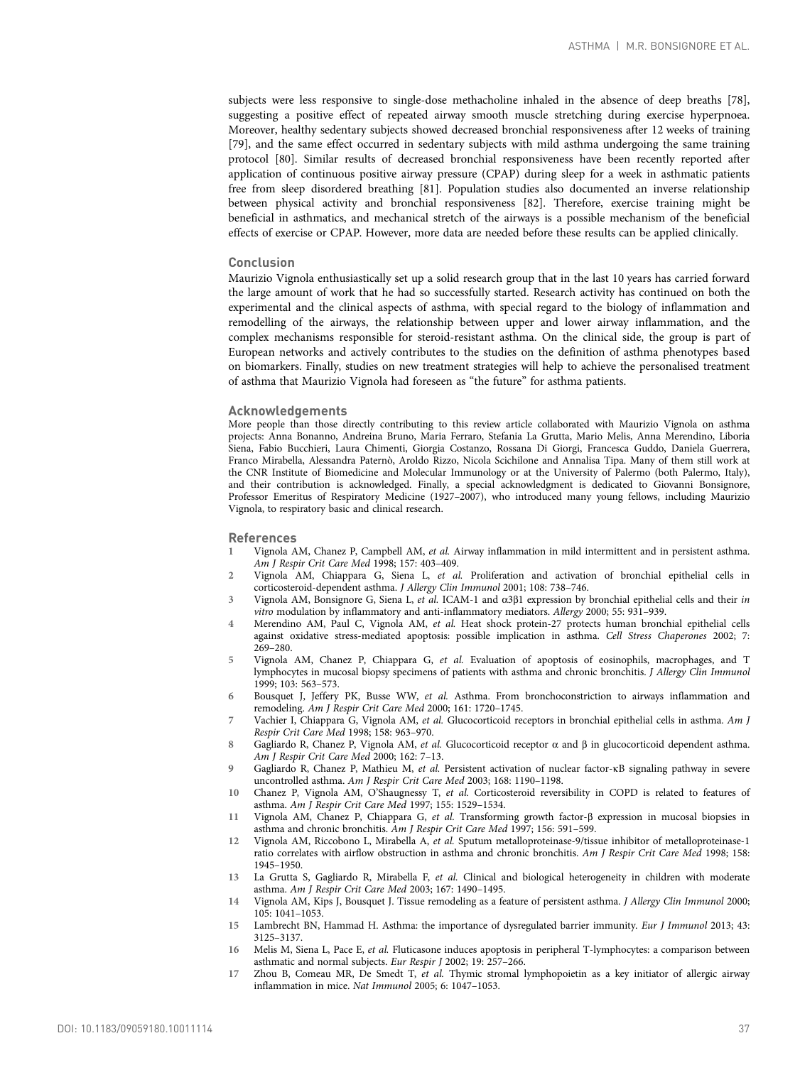<span id="page-7-0"></span>subjects were less responsive to single-dose methacholine inhaled in the absence of deep breaths [[78](#page-9-0)], suggesting a positive effect of repeated airway smooth muscle stretching during exercise hyperpnoea. Moreover, healthy sedentary subjects showed decreased bronchial responsiveness after 12 weeks of training [\[79\]](#page-9-0), and the same effect occurred in sedentary subjects with mild asthma undergoing the same training protocol [[80](#page-9-0)]. Similar results of decreased bronchial responsiveness have been recently reported after application of continuous positive airway pressure (CPAP) during sleep for a week in asthmatic patients free from sleep disordered breathing [\[81](#page-9-0)]. Population studies also documented an inverse relationship between physical activity and bronchial responsiveness [[82](#page-9-0)]. Therefore, exercise training might be beneficial in asthmatics, and mechanical stretch of the airways is a possible mechanism of the beneficial effects of exercise or CPAP. However, more data are needed before these results can be applied clinically.

#### Conclusion

Maurizio Vignola enthusiastically set up a solid research group that in the last 10 years has carried forward the large amount of work that he had so successfully started. Research activity has continued on both the experimental and the clinical aspects of asthma, with special regard to the biology of inflammation and remodelling of the airways, the relationship between upper and lower airway inflammation, and the complex mechanisms responsible for steroid-resistant asthma. On the clinical side, the group is part of European networks and actively contributes to the studies on the definition of asthma phenotypes based on biomarkers. Finally, studies on new treatment strategies will help to achieve the personalised treatment of asthma that Maurizio Vignola had foreseen as "the future" for asthma patients.

#### Acknowledgements

More people than those directly contributing to this review article collaborated with Maurizio Vignola on asthma projects: Anna Bonanno, Andreina Bruno, Maria Ferraro, Stefania La Grutta, Mario Melis, Anna Merendino, Liboria Siena, Fabio Bucchieri, Laura Chimenti, Giorgia Costanzo, Rossana Di Giorgi, Francesca Guddo, Daniela Guerrera, Franco Mirabella, Alessandra Paternò, Aroldo Rizzo, Nicola Scichilone and Annalisa Tipa. Many of them still work at the CNR Institute of Biomedicine and Molecular Immunology or at the University of Palermo (both Palermo, Italy), and their contribution is acknowledged. Finally, a special acknowledgment is dedicated to Giovanni Bonsignore, Professor Emeritus of Respiratory Medicine (1927–2007), who introduced many young fellows, including Maurizio Vignola, to respiratory basic and clinical research.

#### References

- 1 Vignola AM, Chanez P, Campbell AM, et al. Airway inflammation in mild intermittent and in persistent asthma. Am J Respir Crit Care Med 1998; 157: 403–409.
- 2 Vignola AM, Chiappara G, Siena L, et al. Proliferation and activation of bronchial epithelial cells in corticosteroid-dependent asthma. J Allergy Clin Immunol 2001; 108: 738–746.
- 3 Vignola AM, Bonsignore G, Siena L, et al. ICAM-1 and  $\alpha$ 3 $\beta$ 1 expression by bronchial epithelial cells and their in vitro modulation by inflammatory and anti-inflammatory mediators. Allergy 2000; 55: 931–939.
- 4 Merendino AM, Paul C, Vignola AM, et al. Heat shock protein-27 protects human bronchial epithelial cells against oxidative stress-mediated apoptosis: possible implication in asthma. Cell Stress Chaperones 2002; 7: 269–280.
- 5 Vignola AM, Chanez P, Chiappara G, et al. Evaluation of apoptosis of eosinophils, macrophages, and T lymphocytes in mucosal biopsy specimens of patients with asthma and chronic bronchitis. J Allergy Clin Immunol 1999; 103: 563–573.
- 6 Bousquet J, Jeffery PK, Busse WW, et al. Asthma. From bronchoconstriction to airways inflammation and remodeling. Am J Respir Crit Care Med 2000; 161: 1720–1745.
- 7 Vachier I, Chiappara G, Vignola AM, et al. Glucocorticoid receptors in bronchial epithelial cells in asthma. Am J Respir Crit Care Med 1998; 158: 963–970.
- 8 Gagliardo R, Chanez P, Vignola AM, et al. Glucocorticoid receptor α and β in glucocorticoid dependent asthma. Am J Respir Crit Care Med 2000; 162: 7–13.
- 9 Gagliardo R, Chanez P, Mathieu M, et al. Persistent activation of nuclear factor-κB signaling pathway in severe uncontrolled asthma. Am J Respir Crit Care Med 2003; 168: 1190–1198.
- 10 Chanez P, Vignola AM, O'Shaugnessy T, et al. Corticosteroid reversibility in COPD is related to features of asthma. Am J Respir Crit Care Med 1997; 155: 1529–1534.
- 11 Vignola AM, Chanez P, Chiappara G, et al. Transforming growth factor-β expression in mucosal biopsies in asthma and chronic bronchitis. Am J Respir Crit Care Med 1997; 156: 591–599.
- 12 Vignola AM, Riccobono L, Mirabella A, et al. Sputum metalloproteinase-9/tissue inhibitor of metalloproteinase-1 ratio correlates with airflow obstruction in asthma and chronic bronchitis. Am J Respir Crit Care Med 1998; 158: 1945–1950.
- 13 La Grutta S, Gagliardo R, Mirabella F, et al. Clinical and biological heterogeneity in children with moderate asthma. Am J Respir Crit Care Med 2003; 167: 1490–1495.
- 14 Vignola AM, Kips J, Bousquet J. Tissue remodeling as a feature of persistent asthma. J Allergy Clin Immunol 2000; 105: 1041–1053.
- 15 Lambrecht BN, Hammad H. Asthma: the importance of dysregulated barrier immunity. Eur J Immunol 2013; 43: 3125–3137.
- 16 Melis M, Siena L, Pace E, et al. Fluticasone induces apoptosis in peripheral T-lymphocytes: a comparison between asthmatic and normal subjects. Eur Respir J 2002; 19: 257–266.
- 17 Zhou B, Comeau MR, De Smedt T, et al. Thymic stromal lymphopoietin as a key initiator of allergic airway inflammation in mice. Nat Immunol 2005; 6: 1047–1053.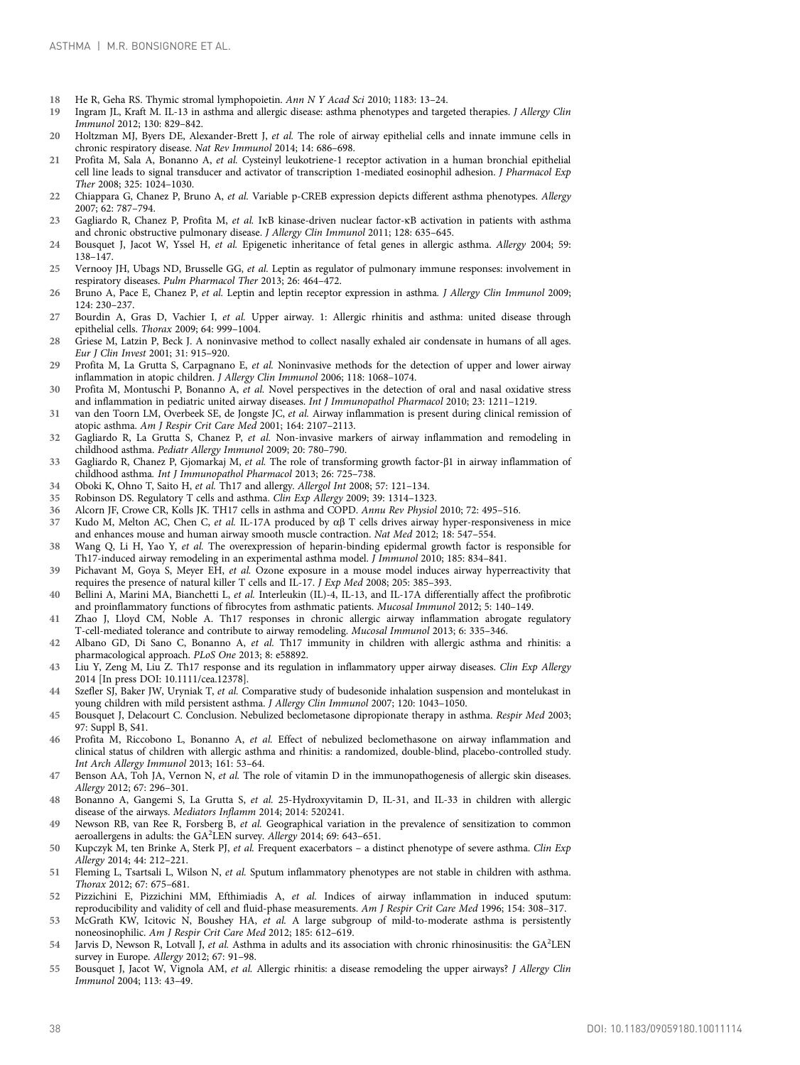- <span id="page-8-0"></span>18 He R, Geha RS. Thymic stromal lymphopoietin. Ann N Y Acad Sci 2010; 1183: 13–24.
- 19 Ingram JL, Kraft M. IL-13 in asthma and allergic disease: asthma phenotypes and targeted therapies. J Allergy Clin Immunol 2012; 130: 829–842.
- 20 Holtzman MJ, Byers DE, Alexander-Brett J, et al. The role of airway epithelial cells and innate immune cells in chronic respiratory disease. Nat Rev Immunol 2014; 14: 686–698.
- 21 Profita M, Sala A, Bonanno A, et al. Cysteinyl leukotriene-1 receptor activation in a human bronchial epithelial cell line leads to signal transducer and activator of transcription 1-mediated eosinophil adhesion. J Pharmacol Exp Ther 2008; 325: 1024–1030.
- 22 Chiappara G, Chanez P, Bruno A, et al. Variable p-CREB expression depicts different asthma phenotypes. Allergy 2007; 62: 787–794.
- 23 Gagliardo R, Chanez P, Profita M, et al. IκB kinase-driven nuclear factor-κB activation in patients with asthma and chronic obstructive pulmonary disease. J Allergy Clin Immunol 2011; 128: 635–645.
- 24 Bousquet J, Jacot W, Yssel H, et al. Epigenetic inheritance of fetal genes in allergic asthma. Allergy 2004; 59: 138–147.
- 25 Vernooy JH, Ubags ND, Brusselle GG, et al. Leptin as regulator of pulmonary immune responses: involvement in respiratory diseases. Pulm Pharmacol Ther 2013; 26: 464–472.
- 26 Bruno A, Pace E, Chanez P, et al. Leptin and leptin receptor expression in asthma. J Allergy Clin Immunol 2009; 124: 230–237.
- 27 Bourdin A, Gras D, Vachier I, et al. Upper airway. 1: Allergic rhinitis and asthma: united disease through epithelial cells. Thorax 2009; 64: 999–1004.
- 28 Griese M, Latzin P, Beck J. A noninvasive method to collect nasally exhaled air condensate in humans of all ages. Eur J Clin Invest 2001; 31: 915–920.
- 29 Profita M, La Grutta S, Carpagnano E, et al. Noninvasive methods for the detection of upper and lower airway inflammation in atopic children. J Allergy Clin Immunol 2006; 118: 1068–1074.
- 30 Profita M, Montuschi P, Bonanno A, et al. Novel perspectives in the detection of oral and nasal oxidative stress and inflammation in pediatric united airway diseases. Int J Immunopathol Pharmacol 2010; 23: 1211–1219.
- 31 van den Toorn LM, Overbeek SE, de Jongste JC, et al. Airway inflammation is present during clinical remission of atopic asthma. Am J Respir Crit Care Med 2001; 164: 2107–2113.
- 32 Gagliardo R, La Grutta S, Chanez P, et al. Non-invasive markers of airway inflammation and remodeling in childhood asthma. Pediatr Allergy Immunol 2009; 20: 780–790.
- 33 Gagliardo R, Chanez P, Gjomarkaj M, et al. The role of transforming growth factor-β1 in airway inflammation of childhood asthma. Int J Immunopathol Pharmacol 2013; 26: 725–738.
- 34 Oboki K, Ohno T, Saito H, et al. Th17 and allergy. Allergol Int 2008; 57: 121–134.
- 35 Robinson DS. Regulatory T cells and asthma. Clin Exp Allergy 2009; 39: 1314–1323.
- 36 Alcorn JF, Crowe CR, Kolls JK. TH17 cells in asthma and COPD. Annu Rev Physiol 2010; 72: 495–516.
- 37 Kudo M, Melton AC, Chen C, et al. IL-17A produced by αβ T cells drives airway hyper-responsiveness in mice and enhances mouse and human airway smooth muscle contraction. Nat Med 2012; 18: 547–554.
- 38 Wang Q, Li H, Yao Y, et al. The overexpression of heparin-binding epidermal growth factor is responsible for Th17-induced airway remodeling in an experimental asthma model. J Immunol 2010; 185: 834–841.
- 39 Pichavant M, Goya S, Meyer EH, et al. Ozone exposure in a mouse model induces airway hyperreactivity that requires the presence of natural killer T cells and IL-17. J Exp Med 2008; 205: 385–393.
- 40 Bellini A, Marini MA, Bianchetti L, et al. Interleukin (IL)-4, IL-13, and IL-17A differentially affect the profibrotic and proinflammatory functions of fibrocytes from asthmatic patients. Mucosal Immunol 2012; 5: 140–149.
- 41 Zhao J, Lloyd CM, Noble A. Th17 responses in chronic allergic airway inflammation abrogate regulatory T-cell-mediated tolerance and contribute to airway remodeling. Mucosal Immunol 2013; 6: 335–346.
- 42 Albano GD, Di Sano C, Bonanno A, et al. Th17 immunity in children with allergic asthma and rhinitis: a pharmacological approach. PLoS One 2013; 8: e58892.
- 43 Liu Y, Zeng M, Liu Z. Th17 response and its regulation in inflammatory upper airway diseases. Clin Exp Allergy 2014 [In press DOI: 10.1111/cea.12378].
- 44 Szefler SJ, Baker JW, Uryniak T, et al. Comparative study of budesonide inhalation suspension and montelukast in young children with mild persistent asthma. J Allergy Clin Immunol 2007; 120: 1043–1050.
- 45 Bousquet J, Delacourt C. Conclusion. Nebulized beclometasone dipropionate therapy in asthma. Respir Med 2003; 97: Suppl B, S41.
- 46 Profita M, Riccobono L, Bonanno A, et al. Effect of nebulized beclomethasone on airway inflammation and clinical status of children with allergic asthma and rhinitis: a randomized, double-blind, placebo-controlled study. Int Arch Allergy Immunol 2013; 161: 53–64.
- 47 Benson AA, Toh JA, Vernon N, et al. The role of vitamin D in the immunopathogenesis of allergic skin diseases. Allergy 2012; 67: 296–301.
- 48 Bonanno A, Gangemi S, La Grutta S, et al. 25-Hydroxyvitamin D, IL-31, and IL-33 in children with allergic disease of the airways. Mediators Inflamm 2014; 2014: 520241.
- 49 Newson RB, van Ree R, Forsberg B, et al. Geographical variation in the prevalence of sensitization to common aeroallergens in adults: the  $GA^2$ LEN survey. Allergy 2014; 69: 643-651.
- 50 Kupczyk M, ten Brinke A, Sterk PJ, et al. Frequent exacerbators a distinct phenotype of severe asthma. Clin Exp Allergy 2014; 44: 212–221.
- 51 Fleming L, Tsartsali L, Wilson N, et al. Sputum inflammatory phenotypes are not stable in children with asthma. Thorax 2012; 67: 675–681.
- 52 Pizzichini E, Pizzichini MM, Efthimiadis A, et al. Indices of airway inflammation in induced sputum: reproducibility and validity of cell and fluid-phase measurements. Am J Respir Crit Care Med 1996; 154: 308–317.
- 53 McGrath KW, Icitovic N, Boushey HA, et al. A large subgroup of mild-to-moderate asthma is persistently noneosinophilic. Am J Respir Crit Care Med 2012; 185: 612–619.
- 54 Jarvis D, Newson R, Lotvall J, et al. Asthma in adults and its association with chronic rhinosinusitis: the GA<sup>2</sup>LEN survey in Europe. Allergy 2012; 67: 91–98.
- 55 Bousquet J, Jacot W, Vignola AM, et al. Allergic rhinitis: a disease remodeling the upper airways? J Allergy Clin Immunol 2004; 113: 43–49.